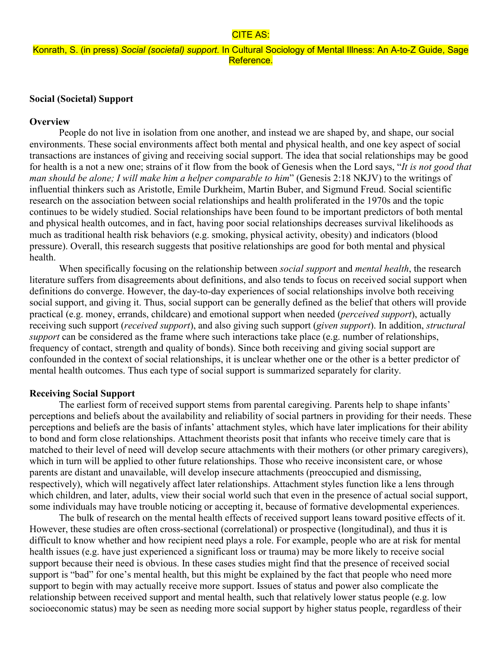### CITE AS:

# Konrath, S. (in press) *Social (societal) support.* In Cultural Sociology of Mental Illness: An A-to-Z Guide, Sage Reference.

# **Social (Societal) Support**

### **Overview**

People do not live in isolation from one another, and instead we are shaped by, and shape, our social environments. These social environments affect both mental and physical health, and one key aspect of social transactions are instances of giving and receiving social support. The idea that social relationships may be good for health is a not a new one; strains of it flow from the book of Genesis when the Lord says, "*It is not good that man should be alone; I will make him a helper comparable to him*" (Genesis 2:18 NKJV) to the writings of influential thinkers such as Aristotle, Emile Durkheim, Martin Buber, and Sigmund Freud. Social scientific research on the association between social relationships and health proliferated in the 1970s and the topic continues to be widely studied. Social relationships have been found to be important predictors of both mental and physical health outcomes, and in fact, having poor social relationships decreases survival likelihoods as much as traditional health risk behaviors (e.g. smoking, physical activity, obesity) and indicators (blood pressure). Overall, this research suggests that positive relationships are good for both mental and physical health.

When specifically focusing on the relationship between *social support* and *mental health*, the research literature suffers from disagreements about definitions, and also tends to focus on received social support when definitions do converge. However, the day-to-day experiences of social relationships involve both receiving social support, and giving it. Thus, social support can be generally defined as the belief that others will provide practical (e.g. money, errands, childcare) and emotional support when needed (*perceived support*), actually receiving such support (*received support*), and also giving such support (*given support*). In addition, *structural support* can be considered as the frame where such interactions take place (e.g. number of relationships, frequency of contact, strength and quality of bonds). Since both receiving and giving social support are confounded in the context of social relationships, it is unclear whether one or the other is a better predictor of mental health outcomes. Thus each type of social support is summarized separately for clarity.

### **Receiving Social Support**

The earliest form of received support stems from parental caregiving. Parents help to shape infants' perceptions and beliefs about the availability and reliability of social partners in providing for their needs. These perceptions and beliefs are the basis of infants' attachment styles, which have later implications for their ability to bond and form close relationships. Attachment theorists posit that infants who receive timely care that is matched to their level of need will develop secure attachments with their mothers (or other primary caregivers), which in turn will be applied to other future relationships. Those who receive inconsistent care, or whose parents are distant and unavailable, will develop insecure attachments (preoccupied and dismissing, respectively), which will negatively affect later relationships. Attachment styles function like a lens through which children, and later, adults, view their social world such that even in the presence of actual social support, some individuals may have trouble noticing or accepting it, because of formative developmental experiences.

The bulk of research on the mental health effects of received support leans toward positive effects of it. However, these studies are often cross-sectional (correlational) or prospective (longitudinal), and thus it is difficult to know whether and how recipient need plays a role. For example, people who are at risk for mental health issues (e.g. have just experienced a significant loss or trauma) may be more likely to receive social support because their need is obvious. In these cases studies might find that the presence of received social support is "bad" for one's mental health, but this might be explained by the fact that people who need more support to begin with may actually receive more support. Issues of status and power also complicate the relationship between received support and mental health, such that relatively lower status people (e.g. low socioeconomic status) may be seen as needing more social support by higher status people, regardless of their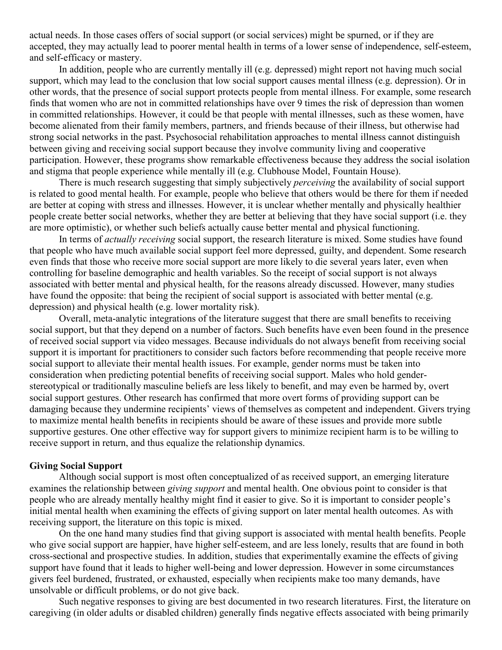actual needs. In those cases offers of social support (or social services) might be spurned, or if they are accepted, they may actually lead to poorer mental health in terms of a lower sense of independence, self-esteem, and self-efficacy or mastery.

In addition, people who are currently mentally ill (e.g. depressed) might report not having much social support, which may lead to the conclusion that low social support causes mental illness (e.g. depression). Or in other words, that the presence of social support protects people from mental illness. For example, some research finds that women who are not in committed relationships have over 9 times the risk of depression than women in committed relationships. However, it could be that people with mental illnesses, such as these women, have become alienated from their family members, partners, and friends because of their illness, but otherwise had strong social networks in the past. Psychosocial rehabilitation approaches to mental illness cannot distinguish between giving and receiving social support because they involve community living and cooperative participation. However, these programs show remarkable effectiveness because they address the social isolation and stigma that people experience while mentally ill (e.g. Clubhouse Model, Fountain House).

There is much research suggesting that simply subjectively *perceiving* the availability of social support is related to good mental health. For example, people who believe that others would be there for them if needed are better at coping with stress and illnesses. However, it is unclear whether mentally and physically healthier people create better social networks, whether they are better at believing that they have social support (i.e. they are more optimistic), or whether such beliefs actually cause better mental and physical functioning.

In terms of *actually receiving* social support, the research literature is mixed. Some studies have found that people who have much available social support feel more depressed, guilty, and dependent. Some research even finds that those who receive more social support are more likely to die several years later, even when controlling for baseline demographic and health variables. So the receipt of social support is not always associated with better mental and physical health, for the reasons already discussed. However, many studies have found the opposite: that being the recipient of social support is associated with better mental (e.g. depression) and physical health (e.g. lower mortality risk).

Overall, meta-analytic integrations of the literature suggest that there are small benefits to receiving social support, but that they depend on a number of factors. Such benefits have even been found in the presence of received social support via video messages. Because individuals do not always benefit from receiving social support it is important for practitioners to consider such factors before recommending that people receive more social support to alleviate their mental health issues. For example, gender norms must be taken into consideration when predicting potential benefits of receiving social support. Males who hold genderstereotypical or traditionally masculine beliefs are less likely to benefit, and may even be harmed by, overt social support gestures. Other research has confirmed that more overt forms of providing support can be damaging because they undermine recipients' views of themselves as competent and independent. Givers trying to maximize mental health benefits in recipients should be aware of these issues and provide more subtle supportive gestures. One other effective way for support givers to minimize recipient harm is to be willing to receive support in return, and thus equalize the relationship dynamics.

### **Giving Social Support**

Although social support is most often conceptualized of as received support, an emerging literature examines the relationship between *giving support* and mental health. One obvious point to consider is that people who are already mentally healthy might find it easier to give. So it is important to consider people's initial mental health when examining the effects of giving support on later mental health outcomes. As with receiving support, the literature on this topic is mixed.

On the one hand many studies find that giving support is associated with mental health benefits. People who give social support are happier, have higher self-esteem, and are less lonely, results that are found in both cross-sectional and prospective studies. In addition, studies that experimentally examine the effects of giving support have found that it leads to higher well-being and lower depression. However in some circumstances givers feel burdened, frustrated, or exhausted, especially when recipients make too many demands, have unsolvable or difficult problems, or do not give back.

Such negative responses to giving are best documented in two research literatures. First, the literature on caregiving (in older adults or disabled children) generally finds negative effects associated with being primarily